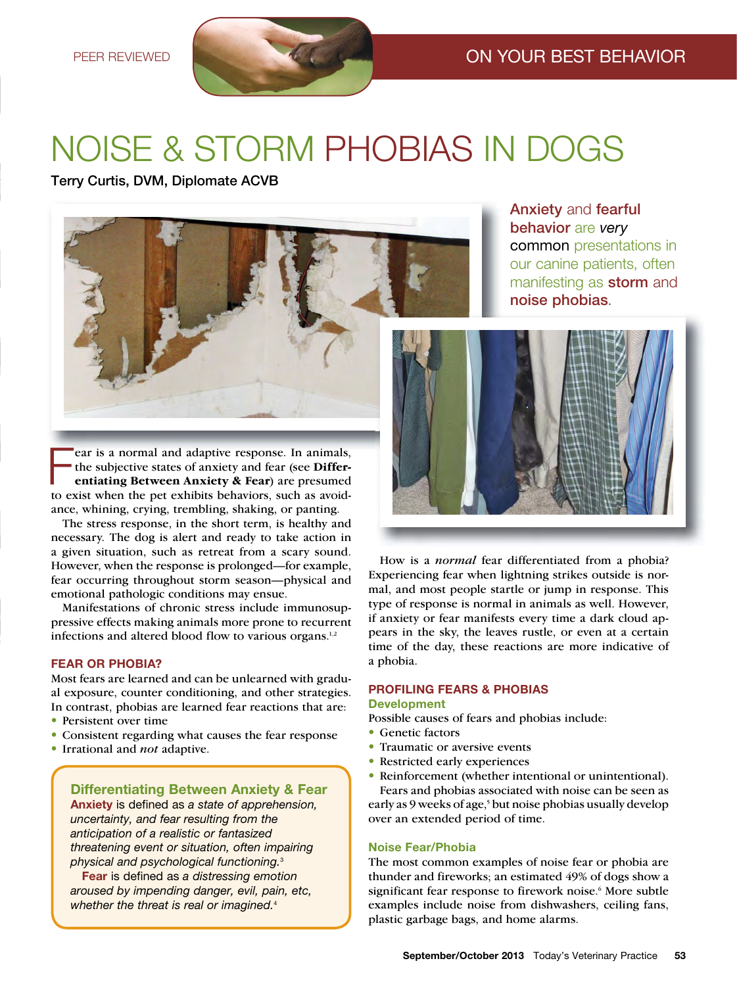# Noise & storm Phobias iN dogs

Terry Curtis, DVM, Diplomate ACVB



Fear is a normal and adaptive response. In animals, the subjective states of anxiety and fear (see Differentiating Between Anxiety & Fear) are presumed to exist when the pet exhibits behaviors, such as avoidear is a normal and adaptive response. In animals, the subjective states of anxiety and fear (see **Differentiating Between Anxiety & Fear**) are presumed ance, whining, crying, trembling, shaking, or panting.

The stress response, in the short term, is healthy and necessary. The dog is alert and ready to take action in a given situation, such as retreat from a scary sound. However, when the response is prolonged—for example, fear occurring throughout storm season—physical and emotional pathologic conditions may ensue.

Manifestations of chronic stress include immunosuppressive effects making animals more prone to recurrent infections and altered blood flow to various organs.<sup>1,2</sup>

Most fears are learned and can be unlearned with gradual exposure, counter conditioning, and other strategies. In contrast, phobias are learned fear reactions that are:

- Persistent over time
- Consistent regarding what causes the fear response
- • Irrational and *not* adaptive.

**Anxiety** is defined as *a state of apprehension,*<br>uncertainty and fear resulting from the *uncertainty, and fear resulting from the anticipation of a realistic or fantasized threatening event or situation, often impairing physical and psychological functioning.*<sup>3</sup>

Fear is defined as *a distressing emotion aroused by impending danger, evil, pain, etc, whether the threat is real or imagined.*<sup>4</sup>

Anxiety and fearful behavior are *very* common presentations in our canine patients, often manifesting as **storm** and noise phobias.



How is a *normal* fear differentiated from a phobia? Experiencing fear when lightning strikes outside is normal, and most people startle or jump in response. This type of response is normal in animals as well. However, if anxiety or fear manifests every time a dark cloud appears in the sky, the leaves rustle, or even at a certain time of the day, these reactions are more indicative of a phobia.

# **PROFILING FEARS & PHOBIAS**

# Development

Possible causes of fears and phobias include:

- Genetic factors
- Traumatic or aversive events
- Restricted early experiences
- Reinforcement (whether intentional or unintentional).

Fears and phobias associated with noise can be seen as early as 9 weeks of age,<sup>5</sup> but noise phobias usually develop over an extended period of time.

The most common examples of noise fear or phobia are thunder and fireworks; an estimated 49% of dogs show a significant fear response to firework noise.<sup>6</sup> More subtle examples include noise from dishwashers, ceiling fans, plastic garbage bags, and home alarms.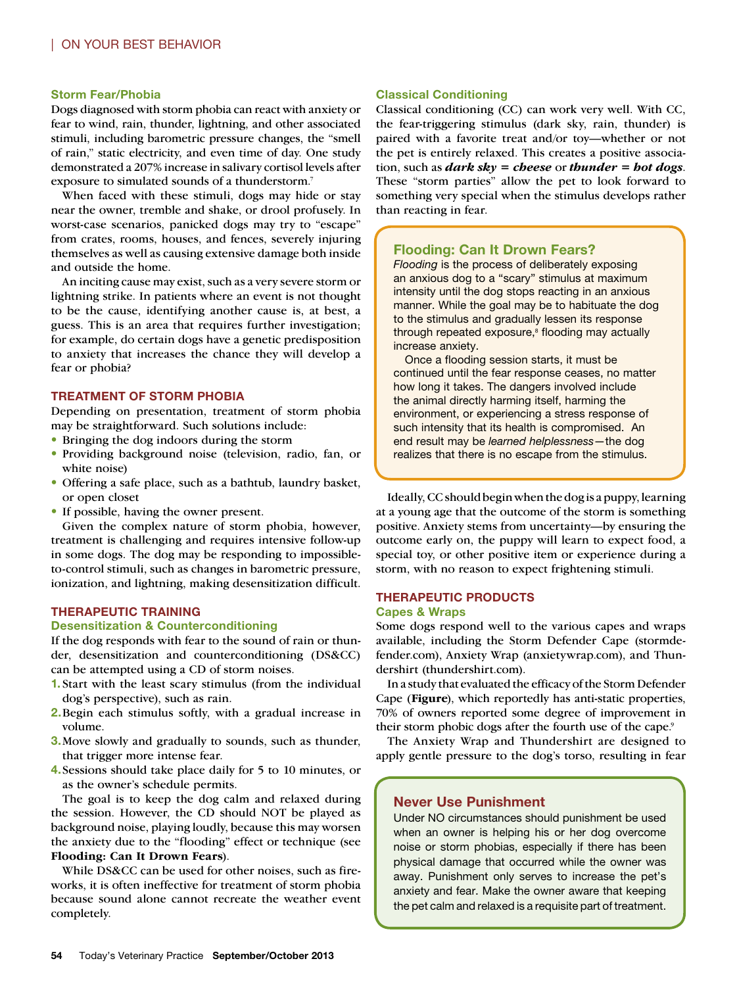#### Storm Fear/Phobia

Dogs diagnosed with storm phobia can react with anxiety or fear to wind, rain, thunder, lightning, and other associated stimuli, including barometric pressure changes, the "smell of rain," static electricity, and even time of day. One study demonstrated a 207% increase in salivary cortisol levels after exposure to simulated sounds of a thunderstorm.<sup>7</sup>

When faced with these stimuli, dogs may hide or stay near the owner, tremble and shake, or drool profusely. In worst-case scenarios, panicked dogs may try to "escape" from crates, rooms, houses, and fences, severely injuring themselves as well as causing extensive damage both inside and outside the home.

An inciting cause may exist, such as a very severe storm or lightning strike. In patients where an event is not thought to be the cause, identifying another cause is, at best, a guess. This is an area that requires further investigation; for example, do certain dogs have a genetic predisposition to anxiety that increases the chance they will develop a fear or phobia?

#### TREATMENT OF STORM PHOBIA

Depending on presentation, treatment of storm phobia may be straightforward. Such solutions include:

- Bringing the dog indoors during the storm
- • Providing background noise (television, radio, fan, or white noise)
- Offering a safe place, such as a bathtub, laundry basket, or open closet
- If possible, having the owner present.

Given the complex nature of storm phobia, however, treatment is challenging and requires intensive follow-up in some dogs. The dog may be responding to impossibleto-control stimuli, such as changes in barometric pressure, ionization, and lightning, making desensitization difficult.

#### THERAPEUTIC TRAINING

#### Desensitization & Counterconditioning

If the dog responds with fear to the sound of rain or thunder, desensitization and counterconditioning (DS&CC) can be attempted using a CD of storm noises.

- 1. Start with the least scary stimulus (from the individual dog's perspective), such as rain.
- 2. Begin each stimulus softly, with a gradual increase in volume.
- 3. Move slowly and gradually to sounds, such as thunder, that trigger more intense fear.
- 4. Sessions should take place daily for 5 to 10 minutes, or as the owner's schedule permits.

The goal is to keep the dog calm and relaxed during the session. However, the CD should NOT be played as background noise, playing loudly, because this may worsen the anxiety due to the "flooding" effect or technique (see **Flooding: Can It Drown Fears**).

While DS&CC can be used for other noises, such as fireworks, it is often ineffective for treatment of storm phobia because sound alone cannot recreate the weather event completely.

#### Classical Conditioning

Classical conditioning (CC) can work very well. With CC, the fear-triggering stimulus (dark sky, rain, thunder) is paired with a favorite treat and/or toy—whether or not the pet is entirely relaxed. This creates a positive association, such as *dark sky = cheese* or *thunder = hot dogs*. These "storm parties" allow the pet to look forward to something very special when the stimulus develops rather than reacting in fear.

### Flooding: Can It Drown Fears?

*Flooding* is the process of deliberately exposing an anxious dog to a "scary" stimulus at maximum intensity until the dog stops reacting in an anxious manner. While the goal may be to habituate the dog to the stimulus and gradually lessen its response through repeated exposure,<sup>8</sup> flooding may actually increase anxiety.

Once a flooding session starts, it must be continued until the fear response ceases, no matter how long it takes. The dangers involved include the animal directly harming itself, harming the environment, or experiencing a stress response of such intensity that its health is compromised. An end result may be *learned helplessness*—the dog realizes that there is no escape from the stimulus.

Ideally, CC should begin when the dog is a puppy, learning at a young age that the outcome of the storm is something positive. Anxiety stems from uncertainty—by ensuring the outcome early on, the puppy will learn to expect food, a special toy, or other positive item or experience during a storm, with no reason to expect frightening stimuli.

#### THERAPEUTIC PRODUCTS

#### Capes & Wraps

Some dogs respond well to the various capes and wraps available, including the Storm Defender Cape [\(stormde](http://stormdefender.com)[fender.com\)](http://stormdefender.com), Anxiety Wrap [\(anxietywrap.com\)](http://anxietywrap.com), and Thundershirt [\(thundershirt.com\)](http://thundershirt.com).

In a study that evaluated the efficacy of the Storm Defender Cape (**Figure**), which reportedly has anti-static properties, 70% of owners reported some degree of improvement in their storm phobic dogs after the fourth use of the cape.<sup>9</sup>

The Anxiety Wrap and Thundershirt are designed to apply gentle pressure to the dog's torso, resulting in fear

#### Never Use Punishment

Under NO circumstances should punishment be used when an owner is helping his or her dog overcome noise or storm phobias, especially if there has been physical damage that occurred while the owner was away. Punishment only serves to increase the pet's anxiety and fear. Make the owner aware that keeping the pet calm and relaxed is a requisite part of treatment.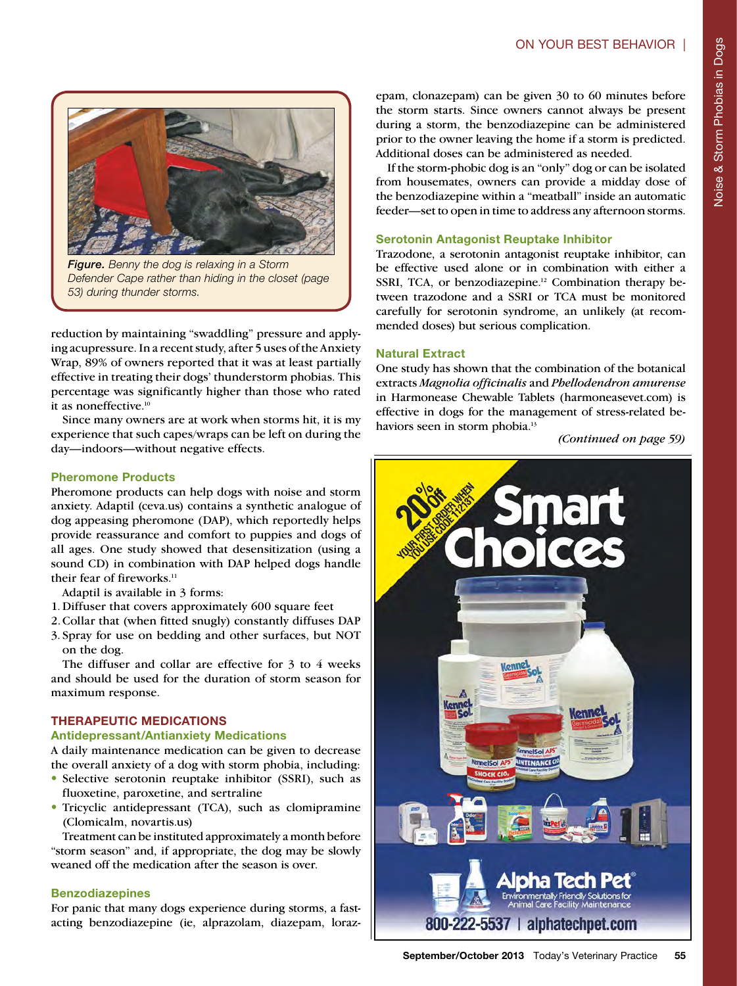

*Figure. Benny the dog is relaxing in a Storm Defender Cape rather than hiding in the closet (page 53) during thunder storms.*

reduction by maintaining "swaddling" pressure and applying acupressure. In a recent study, after 5 uses of the Anxiety Wrap, 89% of owners reported that it was at least partially effective in treating their dogs' thunderstorm phobias. This percentage was significantly higher than those who rated it as noneffective.<sup>10</sup>

Since many owners are at work when storms hit, it is my experience that such capes/wraps can be left on during the day—indoors—without negative effects.

#### Pheromone Products

Pheromone products can help dogs with noise and storm anxiety. Adaptil [\(ceva.us\)](http://ceva.us) contains a synthetic analogue of dog appeasing pheromone (DAP), which reportedly helps provide reassurance and comfort to puppies and dogs of all ages. One study showed that desensitization (using a sound CD) in combination with DAP helped dogs handle their fear of fireworks.<sup>11</sup>

Adaptil is available in 3 forms:

- 1. Diffuser that covers approximately 600 square feet
- 2. Collar that (when fitted snugly) constantly diffuses DAP
- 3. Spray for use on bedding and other surfaces, but NOT on the dog.

The diffuser and collar are effective for 3 to 4 weeks and should be used for the duration of storm season for maximum response.

# THERAPEUTIC MEDICATIONS

#### Antidepressant/Antianxiety Medications

A daily maintenance medication can be given to decrease the overall anxiety of a dog with storm phobia, including:

- Selective serotonin reuptake inhibitor (SSRI), such as fluoxetine, paroxetine, and sertraline
- Tricyclic antidepressant (TCA), such as clomipramine (Clomicalm[, novartis.us\)](http://novartis.us)

Treatment can be instituted approximately a month before "storm season" and, if appropriate, the dog may be slowly weaned off the medication after the season is over.

### Benzodiazepines

For panic that many dogs experience during storms, a fastacting benzodiazepine (ie, alprazolam, diazepam, lorazepam, clonazepam) can be given 30 to 60 minutes before the storm starts. Since owners cannot always be present during a storm, the benzodiazepine can be administered prior to the owner leaving the home if a storm is predicted. Additional doses can be administered as needed.

If the storm-phobic dog is an "only" dog or can be isolated from housemates, owners can provide a midday dose of the benzodiazepine within a "meatball" inside an automatic feeder—set to open in time to address any afternoon storms.

# Serotonin Antagonist Reuptake Inhibitor

Trazodone, a serotonin antagonist reuptake inhibitor, can be effective used alone or in combination with either a SSRI, TCA, or benzodiazepine.<sup>12</sup> Combination therapy between trazodone and a SSRI or TCA must be monitored carefully for serotonin syndrome, an unlikely (at recommended doses) but serious complication.

# Natural Extract

One study has shown that the combination of the botanical extracts *Magnolia officinalis* and *Phellodendron amurense* in Harmonease Chewable Tablets [\(harmoneasevet.com\)](http://harmoneasevet.com) is effective in dogs for the management of stress-related behaviors seen in storm phobia.<sup>13</sup>

*(Continued on page 59)*